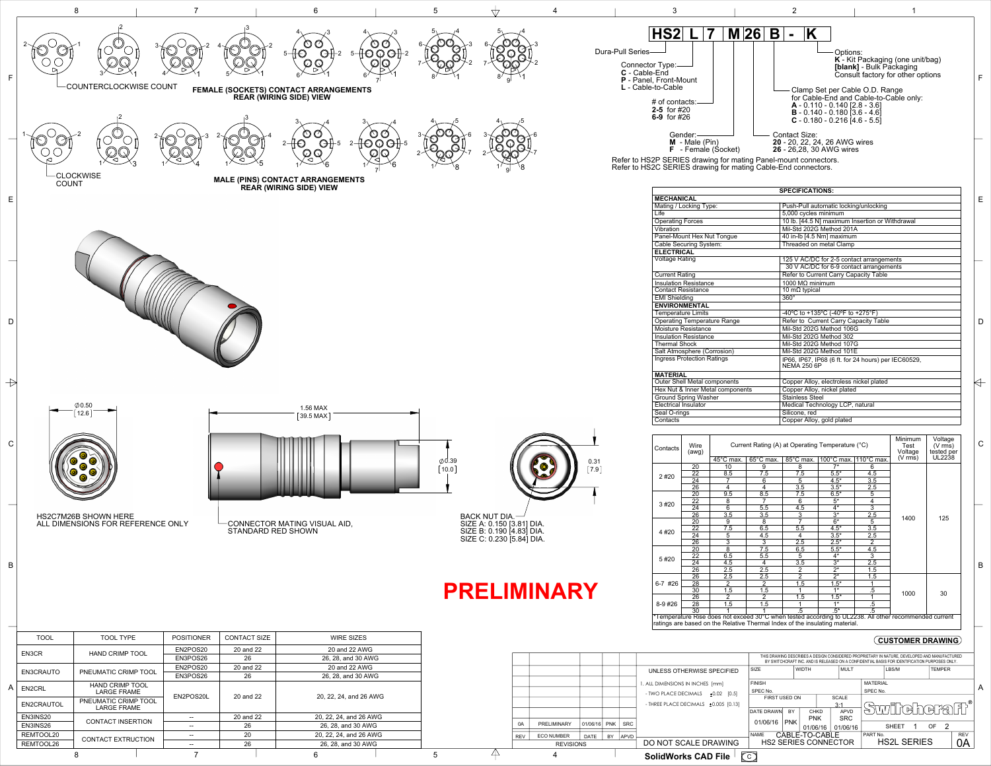| $\begin{bmatrix} 0.31 \\ 7.9 \end{bmatrix}$ |
|---------------------------------------------|
|                                             |
|                                             |

Refer to HS2P SERIES drawing for mating Panel-mount connectors. Refer to HS2C SERIES drawing for mating Cable-End connectors.

| Contacts    | Wire<br>(awg)   | Current Rating (A) at Operating Temperature (°C) | Minimum<br>Test<br>Voltage | Voltage<br>$(V \text{ rms})$<br>tested per |                                                                                                                 |                      |                   |        |
|-------------|-----------------|--------------------------------------------------|----------------------------|--------------------------------------------|-----------------------------------------------------------------------------------------------------------------|----------------------|-------------------|--------|
|             |                 | 45°C max.                                        | 65°C max.                  | $85^{\circ}$ C max.                        | $100^{\circ}$ C max.                                                                                            | $110^{\circ}$ C max. | $(V \text{ rms})$ | UL2238 |
|             | 20              | 10                                               | 9                          | 8                                          | $7*$                                                                                                            | 6                    |                   |        |
| 2#20        | $\overline{22}$ | 8.5                                              | $\overline{7.5}$           | $\overline{7.5}$                           | $5.5*$                                                                                                          | 4.5                  |                   | 125    |
|             | 24              |                                                  | 6                          | 5                                          | $4.5*$                                                                                                          | 3.5                  |                   |        |
|             | 26              | 4                                                | 4                          | 3.5                                        | $3.5*$                                                                                                          | 2.5                  |                   |        |
|             | 20              | 9.5                                              | 8.5                        | 7.5                                        | $6.5*$                                                                                                          | $\overline{5}$       |                   |        |
| 3 #20       | $\overline{22}$ | 8                                                |                            | 6                                          | $5*$                                                                                                            | $\overline{4}$       |                   |        |
|             | 24              | $6\overline{6}$                                  | 5.5                        | 4.5                                        | $\overline{4^*}$                                                                                                | $\overline{3}$       |                   |        |
|             | $\overline{26}$ | 3.5                                              | 3.5                        | 3                                          | $\overline{3^*}$                                                                                                | 2.5                  | 1400              |        |
|             | 20              | 9                                                | $\overline{8}$             | 7                                          | $6*$                                                                                                            | $\overline{5}$       |                   |        |
| 4#20        | 22              | 7.5                                              | 6.5                        | 5.5                                        | $4.5*$                                                                                                          | 3.5                  |                   |        |
|             | 24              | 5                                                | 4.5                        | 4                                          | $3.5*$                                                                                                          | 2.5                  |                   |        |
|             | $\overline{26}$ | $\overline{3}$                                   | $\overline{3}$             | $\overline{2.5}$                           | $2.5*$                                                                                                          | $\overline{2}$       |                   |        |
|             | 20              | 8                                                | 7.5                        | 6.5                                        | $5.5*$                                                                                                          | 4.5                  |                   |        |
| 5#20        | 22              | 6.5                                              | 5.5                        | 5                                          | $4*$                                                                                                            | $\overline{3}$       |                   |        |
|             | 24              | 4.5                                              | 4                          | 3.5                                        | $\overline{3^*}$                                                                                                | 2.5                  |                   |        |
|             | $\overline{26}$ | $\overline{2.5}$                                 | $\overline{2.5}$           | $\overline{2}$                             | $\overline{2^*}$                                                                                                | 1.5                  |                   |        |
| $6-7$ #26   | 26              | 2.5                                              | 2.5                        | $\overline{2}$                             | $\overline{2^*}$                                                                                                | 1.5                  |                   |        |
|             | 28              | $\overline{2}$                                   | $\overline{2}$             | 1.5                                        | $.5^*$                                                                                                          | 1                    |                   |        |
|             | 30              | 1.5                                              | 1.5                        |                                            | $1*$                                                                                                            | .5                   | 1000              | 30     |
|             | 26              | 2                                                | 2                          | 1.5                                        | $1.5*$                                                                                                          | 1                    |                   |        |
| $8 - 9$ #26 | 28              | 1.5                                              | 1.5                        |                                            | $1*$                                                                                                            | $.5\,$               |                   |        |
|             | 30              |                                                  |                            | .5                                         | $.5^*$<br>*Temperature Rise does not exceed 30°C when tested according to UL2238. All other recommended current | .5                   |                   |        |

|            |                   |             |                      |                                                   |                                                        | THIS DRAWING DESCRIBES A DESIGN CONSIDERED PROPRIETARY IN NATURE, DEVELOPED AND MANUFACTURED<br>BY SWITCHCRAFT INC. AND IS RELEASED ON A CONFIDENTIAL BASIS FOR IDENTIFICATION PURPOSES ONLY. |            |                |             |                 |              |               |            |   |
|------------|-------------------|-------------|----------------------|---------------------------------------------------|--------------------------------------------------------|-----------------------------------------------------------------------------------------------------------------------------------------------------------------------------------------------|------------|----------------|-------------|-----------------|--------------|---------------|------------|---|
|            |                   |             |                      |                                                   | UNLESS OTHERWISE SPECIFIED                             | <b>SIZE</b>                                                                                                                                                                                   |            | <b>WIDTH</b>   | <b>MULT</b> |                 | LBS/M        | <b>TEMPER</b> |            |   |
|            |                   |             |                      |                                                   | . ALL DIMENSIONS IN INCHES [mm]                        | <b>FINISH</b>                                                                                                                                                                                 |            |                |             | <b>MATERIAL</b> |              |               |            | A |
|            |                   |             |                      |                                                   | SPEC No.                                               |                                                                                                                                                                                               |            |                | SPEC No.    |                 |              |               |            |   |
|            |                   |             |                      |                                                   | $±0.02$ [0.5]<br>- TWO PLACE DECIMALS<br>FIRST USED ON |                                                                                                                                                                                               |            | <b>SCALE</b>   |             |                 |              |               |            |   |
|            |                   |             |                      |                                                   | - THREE PLACE DECIMALS ±0.005 [0.13]                   | 3:1                                                                                                                                                                                           |            |                |             | Swildelera fr   |              |               |            |   |
|            |                   |             |                      |                                                   |                                                        | <b>DATE DRAWN</b>                                                                                                                                                                             | <b>BY</b>  | <b>CHKD</b>    | <b>APVD</b> |                 |              |               |            |   |
|            |                   |             |                      |                                                   |                                                        |                                                                                                                                                                                               |            | <b>PNK</b>     | <b>SRC</b>  |                 |              |               |            |   |
| 0A         | PRELIMINARY       | 01/06/16    | <b>PNK</b>           | <b>SRC</b>                                        |                                                        | 01/06/16                                                                                                                                                                                      | <b>PNK</b> | 01/06/16       | 01/06/16    |                 | <b>SHEET</b> | OF.           |            |   |
| <b>REV</b> | <b>ECO NUMBER</b> | <b>DATE</b> | BY                   | <b>APVD</b>                                       |                                                        | <b>NAME</b>                                                                                                                                                                                   |            | CABLE-TO-CABLE |             | PART No.        |              |               | <b>REV</b> |   |
|            | <b>REVISIONS</b>  |             | DO NOT SCALE DRAWING | <b>HS2L SERIES</b><br><b>HS2 SERIES CONNECTOR</b> |                                                        |                                                                                                                                                                                               | 0A         |                |             |                 |              |               |            |   |
|            | 4                 |             |                      |                                                   | $\widehat{\mathbb{C}}$<br><b>SolidWorks CAD File</b>   |                                                                                                                                                                                               |            |                |             |                 |              |               |            |   |





26, 28, and 30 AWG

 $8$  1 7 1 6 1 5 4 4

REMTOOL20 CONTACT EXTRUCTION  $\begin{array}{|c|c|c|c|c|}\n\hline\n& - & 20 & 20, 22, 24, \text{ and } 26 \text{ AWG} \\
\hline\n\text{REMTOOL26} & 26, 28, \text{ and } 30 \text{ AWG}\n\end{array}$ 

|                                     | <b>SPECIFICATIONS:</b>                                                    |   |
|-------------------------------------|---------------------------------------------------------------------------|---|
| <b>MECHANICAL</b>                   |                                                                           | Е |
| Mating / Locking Type:              | Push-Pull automatic locking/unlocking                                     |   |
| Life                                | 5,000 cycles minimum                                                      |   |
| <b>Operating Forces</b>             | 10 lb. [44.5 N] maximum Insertion or Withdrawal                           |   |
| Vibration                           | Mil-Std 202G Method 201A                                                  |   |
| Panel-Mount Hex Nut Tongue          | 40 in-lb [4.5 Nm] maximum                                                 |   |
| <b>Cable Securing System:</b>       | Threaded on metal Clamp                                                   |   |
| <b>ELECTRICAL</b>                   |                                                                           |   |
| <b>Voltage Rating</b>               | 125 V AC/DC for 2-5 contact arrangements                                  |   |
|                                     | 30 V AC/DC for 6-9 contact arrangements                                   |   |
| <b>Current Rating</b>               | Refer to Current Carry Capacity Table                                     |   |
| <b>Insulation Resistance</b>        | 1000 MΩ minimum                                                           |   |
| <b>Contact Resistance</b>           | 10 m $\Omega$ typical                                                     |   |
| <b>EMI Shielding</b>                | $360^\circ$                                                               |   |
| <b>ENVIRONMENTAL</b>                |                                                                           |   |
| <b>Temperature Limits</b>           | -40°C to +135°C (-40°F to +275°F)                                         |   |
| <b>Operating Temperature Range</b>  | Refer to Current Carry Capacity Table                                     | D |
| <b>Moisture Resistance</b>          | Mil-Std 202G Method 106G                                                  |   |
| Insulation Resistance               | Mil-Std 202G Method 302                                                   |   |
| <b>Thermal Shock</b>                | Mil-Std 202G Method 107G                                                  |   |
| <b>Salt Atmosphere (Corrosion)</b>  | Mil-Std 202G Method 101E                                                  |   |
| <b>Ingress Protection Ratings</b>   | IP66, IP67, IP68 (6 ft. for 24 hours) per IEC60529,<br><b>NEMA 250 6P</b> |   |
| <b>MATERIAL</b>                     |                                                                           |   |
| <b>Outer Shell Metal components</b> | Copper Alloy, electroless nickel plated                                   |   |
| Hex Nut & Inner Metal components    | Copper Alloy, nickel plated                                               |   |
| <b>Ground Spring Washer</b>         | <b>Stainless Steel</b>                                                    |   |
| <b>Electrical Insulator</b>         | Medical Technology LCP, natural                                           |   |
| Seal O-rings                        | Silicone, red                                                             |   |
| Contacts                            | Copper Alloy, gold plated                                                 |   |

B

C

## **CUSTOMER DRAWING**